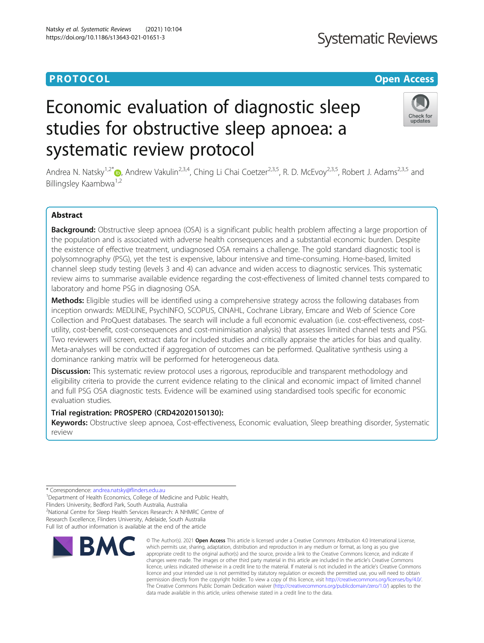### **PROTOCOL CONSUMING THE OPEN ACCESS**

## **Systematic Reviews**

# Economic evaluation of diagnostic sleep studies for obstructive sleep apnoea: a systematic review protocol



Andrea N. Natsky<sup>1,2[\\*](http://orcid.org/0000-0002-5290-754X)</sup> (b), Andrew Vakulin<sup>2,3,4</sup>, Ching Li Chai Coetzer<sup>2,3,5</sup>, R. D. McEvoy<sup>2,3,5</sup>, Robert J. Adams<sup>2,3,5</sup> and Billingsley Kaambwa<sup>1,2</sup>

#### Abstract

Background: Obstructive sleep apnoea (OSA) is a significant public health problem affecting a large proportion of the population and is associated with adverse health consequences and a substantial economic burden. Despite the existence of effective treatment, undiagnosed OSA remains a challenge. The gold standard diagnostic tool is polysomnography (PSG), yet the test is expensive, labour intensive and time-consuming. Home-based, limited channel sleep study testing (levels 3 and 4) can advance and widen access to diagnostic services. This systematic review aims to summarise available evidence regarding the cost-effectiveness of limited channel tests compared to laboratory and home PSG in diagnosing OSA.

Methods: Eligible studies will be identified using a comprehensive strategy across the following databases from inception onwards: MEDLINE, PsychINFO, SCOPUS, CINAHL, Cochrane Library, Emcare and Web of Science Core Collection and ProQuest databases. The search will include a full economic evaluation (i.e. cost-effectiveness, costutility, cost-benefit, cost-consequences and cost-minimisation analysis) that assesses limited channel tests and PSG. Two reviewers will screen, extract data for included studies and critically appraise the articles for bias and quality. Meta-analyses will be conducted if aggregation of outcomes can be performed. Qualitative synthesis using a dominance ranking matrix will be performed for heterogeneous data.

Discussion: This systematic review protocol uses a rigorous, reproducible and transparent methodology and eligibility criteria to provide the current evidence relating to the clinical and economic impact of limited channel and full PSG OSA diagnostic tests. Evidence will be examined using standardised tools specific for economic evaluation studies.

#### Trial registration: PROSPERO (CRD42020150130):

Keywords: Obstructive sleep apnoea, Cost-effectiveness, Economic evaluation, Sleep breathing disorder, Systematic review

\* Correspondence: [andrea.natsky@flinders.edu.au](mailto:andrea.natsky@flinders.edu.au) <sup>1</sup>

<sup>1</sup>Department of Health Economics, College of Medicine and Public Health, Flinders University, Bedford Park, South Australia, Australia

<sup>2</sup>National Centre for Sleep Health Services Research: A NHMRC Centre of Research Excellence, Flinders University, Adelaide, South Australia

Full list of author information is available at the end of the article



© The Author(s), 2021 **Open Access** This article is licensed under a Creative Commons Attribution 4.0 International License, which permits use, sharing, adaptation, distribution and reproduction in any medium or format, as long as you give appropriate credit to the original author(s) and the source, provide a link to the Creative Commons licence, and indicate if changes were made. The images or other third party material in this article are included in the article's Creative Commons licence, unless indicated otherwise in a credit line to the material. If material is not included in the article's Creative Commons licence and your intended use is not permitted by statutory regulation or exceeds the permitted use, you will need to obtain permission directly from the copyright holder. To view a copy of this licence, visit [http://creativecommons.org/licenses/by/4.0/.](http://creativecommons.org/licenses/by/4.0/) The Creative Commons Public Domain Dedication waiver [\(http://creativecommons.org/publicdomain/zero/1.0/](http://creativecommons.org/publicdomain/zero/1.0/)) applies to the data made available in this article, unless otherwise stated in a credit line to the data.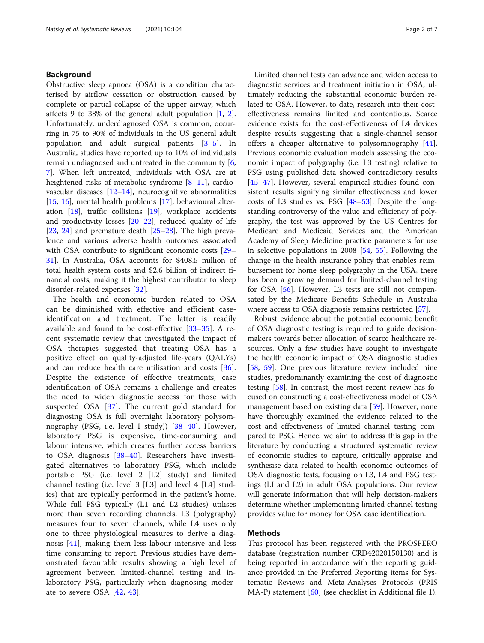#### Background

Obstructive sleep apnoea (OSA) is a condition characterised by airflow cessation or obstruction caused by complete or partial collapse of the upper airway, which affects 9 to 38% of the general adult population [[1,](#page-4-0) [2](#page-4-0)]. Unfortunately, underdiagnosed OSA is common, occurring in 75 to 90% of individuals in the US general adult population and adult surgical patients [\[3](#page-4-0)–[5\]](#page-4-0). In Australia, studies have reported up to 10% of individuals remain undiagnosed and untreated in the community [\[6](#page-4-0), [7\]](#page-4-0). When left untreated, individuals with OSA are at heightened risks of metabolic syndrome [[8](#page-4-0)–[11](#page-4-0)], cardiovascular diseases  $[12-14]$  $[12-14]$  $[12-14]$ , neurocognitive abnormalities [[15,](#page-4-0) [16](#page-4-0)], mental health problems [\[17](#page-4-0)], behavioural alteration [\[18](#page-4-0)], traffic collisions [\[19](#page-4-0)], workplace accidents and productivity losses [\[20](#page-4-0)–[22\]](#page-4-0), reduced quality of life [[23,](#page-4-0) [24\]](#page-5-0) and premature death  $[25-28]$  $[25-28]$  $[25-28]$  $[25-28]$  $[25-28]$ . The high prevalence and various adverse health outcomes associated with OSA contribute to significant economic costs [[29](#page-5-0)– [31\]](#page-5-0). In Australia, OSA accounts for \$408.5 million of total health system costs and \$2.6 billion of indirect financial costs, making it the highest contributor to sleep disorder-related expenses [[32\]](#page-5-0).

The health and economic burden related to OSA can be diminished with effective and efficient caseidentification and treatment. The latter is readily available and found to be cost-effective [\[33](#page-5-0)–[35](#page-5-0)]. A recent systematic review that investigated the impact of OSA therapies suggested that treating OSA has a positive effect on quality-adjusted life-years (QALYs) and can reduce health care utilisation and costs [\[36](#page-5-0)]. Despite the existence of effective treatments, case identification of OSA remains a challenge and creates the need to widen diagnostic access for those with suspected OSA [\[37](#page-5-0)]. The current gold standard for diagnosing OSA is full overnight laboratory polysomnography (PSG, i.e. level I study)) [[38](#page-5-0)–[40\]](#page-5-0). However, laboratory PSG is expensive, time-consuming and labour intensive, which creates further access barriers to OSA diagnosis [\[38](#page-5-0)–[40](#page-5-0)]. Researchers have investigated alternatives to laboratory PSG, which include portable PSG (i.e. level 2 [L2] study) and limited channel testing (i.e. level 3 [L3] and level 4 [L4] studies) that are typically performed in the patient's home. While full PSG typically (L1 and L2 studies) utilises more than seven recording channels, L3 (polygraphy) measures four to seven channels, while L4 uses only one to three physiological measures to derive a diagnosis [\[41](#page-5-0)], making them less labour intensive and less time consuming to report. Previous studies have demonstrated favourable results showing a high level of agreement between limited-channel testing and inlaboratory PSG, particularly when diagnosing moderate to severe OSA [[42,](#page-5-0) [43](#page-5-0)].

Limited channel tests can advance and widen access to diagnostic services and treatment initiation in OSA, ultimately reducing the substantial economic burden related to OSA. However, to date, research into their costeffectiveness remains limited and contentious. Scarce evidence exists for the cost-effectiveness of L4 devices despite results suggesting that a single-channel sensor offers a cheaper alternative to polysomnography [\[44](#page-5-0)]. Previous economic evaluation models assessing the economic impact of polygraphy (i.e. L3 testing) relative to PSG using published data showed contradictory results [[45](#page-5-0)–[47](#page-5-0)]. However, several empirical studies found consistent results signifying similar effectiveness and lower costs of L3 studies vs. PSG [[48](#page-5-0)–[53](#page-5-0)]. Despite the longstanding controversy of the value and efficiency of polygraphy, the test was approved by the US Centres for Medicare and Medicaid Services and the American Academy of Sleep Medicine practice parameters for use in selective populations in 2008 [\[54,](#page-5-0) [55](#page-5-0)]. Following the change in the health insurance policy that enables reimbursement for home sleep polygraphy in the USA, there has been a growing demand for limited-channel testing for OSA [\[56\]](#page-5-0). However, L3 tests are still not compensated by the Medicare Benefits Schedule in Australia where access to OSA diagnosis remains restricted [[57](#page-5-0)].

Robust evidence about the potential economic benefit of OSA diagnostic testing is required to guide decisionmakers towards better allocation of scarce healthcare resources. Only a few studies have sought to investigate the health economic impact of OSA diagnostic studies [[58,](#page-5-0) [59\]](#page-5-0). One previous literature review included nine studies, predominantly examining the cost of diagnostic testing [[58\]](#page-5-0). In contrast, the most recent review has focused on constructing a cost-effectiveness model of OSA management based on existing data [\[59\]](#page-5-0). However, none have thoroughly examined the evidence related to the cost and effectiveness of limited channel testing compared to PSG. Hence, we aim to address this gap in the literature by conducting a structured systematic review of economic studies to capture, critically appraise and synthesise data related to health economic outcomes of OSA diagnostic tests, focusing on L3, L4 and PSG testings (LI and L2) in adult OSA populations. Our review will generate information that will help decision-makers determine whether implementing limited channel testing provides value for money for OSA case identification.

#### Methods

This protocol has been registered with the PROSPERO database (registration number CRD42020150130) and is being reported in accordance with the reporting guidance provided in the Preferred Reporting items for Systematic Reviews and Meta-Analyses Protocols (PRIS MA-P) statement [\[60\]](#page-5-0) (see checklist in Additional file 1).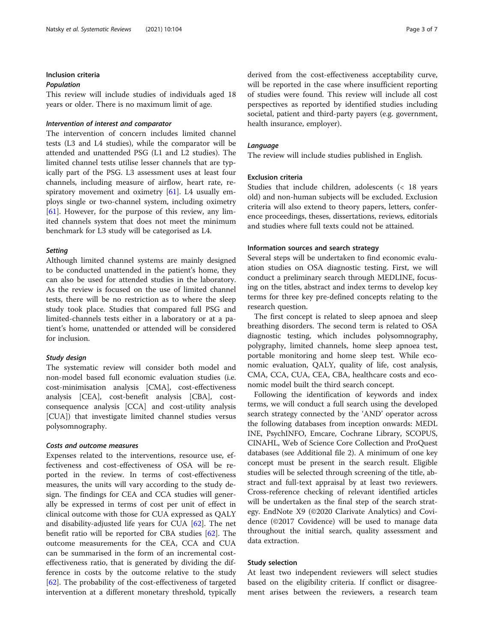#### Inclusion criteria

#### Population

This review will include studies of individuals aged 18 years or older. There is no maximum limit of age.

#### Intervention of interest and comparator

The intervention of concern includes limited channel tests (L3 and L4 studies), while the comparator will be attended and unattended PSG (L1 and L2 studies). The limited channel tests utilise lesser channels that are typically part of the PSG. L3 assessment uses at least four channels, including measure of airflow, heart rate, respiratory movement and oximetry [[61](#page-5-0)]. L4 usually employs single or two-channel system, including oximetry [[61\]](#page-5-0). However, for the purpose of this review, any limited channels system that does not meet the minimum benchmark for L3 study will be categorised as L4.

#### **Setting**

Although limited channel systems are mainly designed to be conducted unattended in the patient's home, they can also be used for attended studies in the laboratory. As the review is focused on the use of limited channel tests, there will be no restriction as to where the sleep study took place. Studies that compared full PSG and limited-channels tests either in a laboratory or at a patient's home, unattended or attended will be considered for inclusion.

#### Study design

The systematic review will consider both model and non-model based full economic evaluation studies (i.e. cost-minimisation analysis [CMA], cost-effectiveness analysis [CEA], cost-benefit analysis [CBA], costconsequence analysis [CCA] and cost-utility analysis [CUA]) that investigate limited channel studies versus polysomnography.

#### Costs and outcome measures

Expenses related to the interventions, resource use, effectiveness and cost-effectiveness of OSA will be reported in the review. In terms of cost-effectiveness measures, the units will vary according to the study design. The findings for CEA and CCA studies will generally be expressed in terms of cost per unit of effect in clinical outcome with those for CUA expressed as QALY and disability-adjusted life years for CUA [\[62\]](#page-6-0). The net benefit ratio will be reported for CBA studies [\[62](#page-6-0)]. The outcome measurements for the CEA, CCA and CUA can be summarised in the form of an incremental costeffectiveness ratio, that is generated by dividing the difference in costs by the outcome relative to the study [[62\]](#page-6-0). The probability of the cost-effectiveness of targeted intervention at a different monetary threshold, typically derived from the cost-effectiveness acceptability curve, will be reported in the case where insufficient reporting of studies were found. This review will include all cost perspectives as reported by identified studies including societal, patient and third-party payers (e.g. government, health insurance, employer).

#### Language

The review will include studies published in English.

#### Exclusion criteria

Studies that include children, adolescents (< 18 years old) and non-human subjects will be excluded. Exclusion criteria will also extend to theory papers, letters, conference proceedings, theses, dissertations, reviews, editorials and studies where full texts could not be attained.

#### Information sources and search strategy

Several steps will be undertaken to find economic evaluation studies on OSA diagnostic testing. First, we will conduct a preliminary search through MEDLINE, focusing on the titles, abstract and index terms to develop key terms for three key pre-defined concepts relating to the research question.

The first concept is related to sleep apnoea and sleep breathing disorders. The second term is related to OSA diagnostic testing, which includes polysomnography, polygraphy, limited channels, home sleep apnoea test, portable monitoring and home sleep test. While economic evaluation, QALY, quality of life, cost analysis, CMA, CCA, CUA, CEA, CBA, healthcare costs and economic model built the third search concept.

Following the identification of keywords and index terms, we will conduct a full search using the developed search strategy connected by the 'AND' operator across the following databases from inception onwards: MEDL INE, PsychINFO, Emcare, Cochrane Library, SCOPUS, CINAHL, Web of Science Core Collection and ProQuest databases (see Additional file 2). A minimum of one key concept must be present in the search result. Eligible studies will be selected through screening of the title, abstract and full-text appraisal by at least two reviewers. Cross-reference checking of relevant identified articles will be undertaken as the final step of the search strategy. EndNote X9 (©2020 Clarivate Analytics) and Covidence (©2017 Covidence) will be used to manage data throughout the initial search, quality assessment and data extraction.

#### Study selection

At least two independent reviewers will select studies based on the eligibility criteria. If conflict or disagreement arises between the reviewers, a research team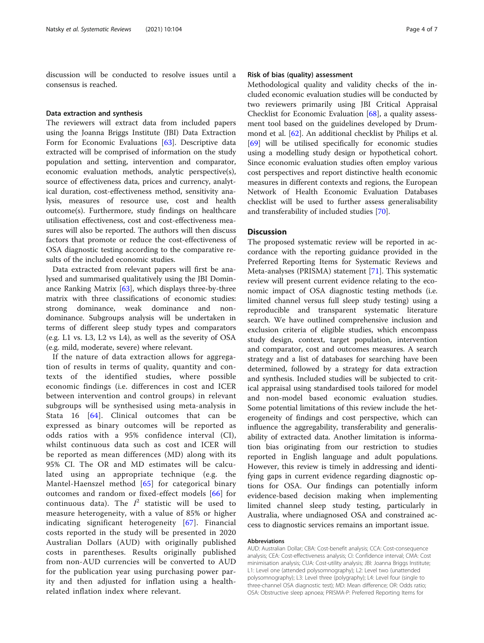discussion will be conducted to resolve issues until a consensus is reached.

#### Data extraction and synthesis

The reviewers will extract data from included papers using the Joanna Briggs Institute (JBI) Data Extraction Form for Economic Evaluations [[63\]](#page-6-0). Descriptive data extracted will be comprised of information on the study population and setting, intervention and comparator, economic evaluation methods, analytic perspective(s), source of effectiveness data, prices and currency, analytical duration, cost-effectiveness method, sensitivity analysis, measures of resource use, cost and health outcome(s). Furthermore, study findings on healthcare utilisation effectiveness, cost and cost-effectiveness measures will also be reported. The authors will then discuss factors that promote or reduce the cost-effectiveness of OSA diagnostic testing according to the comparative results of the included economic studies.

Data extracted from relevant papers will first be analysed and summarised qualitatively using the JBI Dominance Ranking Matrix [\[63\]](#page-6-0), which displays three-by-three matrix with three classifications of economic studies: strong dominance, weak dominance and nondominance. Subgroups analysis will be undertaken in terms of different sleep study types and comparators (e.g. L1 vs. L3, L2 vs L4), as well as the severity of OSA (e.g. mild, moderate, severe) where relevant.

If the nature of data extraction allows for aggregation of results in terms of quality, quantity and contexts of the identified studies, where possible economic findings (i.e. differences in cost and ICER between intervention and control groups) in relevant subgroups will be synthesised using meta-analysis in Stata 16 [[64](#page-6-0)]. Clinical outcomes that can be expressed as binary outcomes will be reported as odds ratios with a 95% confidence interval (CI), whilst continuous data such as cost and ICER will be reported as mean differences (MD) along with its 95% CI. The OR and MD estimates will be calculated using an appropriate technique (e.g. the Mantel-Haenszel method [[65](#page-6-0)] for categorical binary outcomes and random or fixed-effect models [[66](#page-6-0)] for continuous data). The  $I^2$  statistic will be used to measure heterogeneity, with a value of 85% or higher indicating significant heterogeneity [[67](#page-6-0)]. Financial costs reported in the study will be presented in 2020 Australian Dollars (AUD) with originally published costs in parentheses. Results originally published from non-AUD currencies will be converted to AUD for the publication year using purchasing power parity and then adjusted for inflation using a healthrelated inflation index where relevant.

#### Risk of bias (quality) assessment

Methodological quality and validity checks of the included economic evaluation studies will be conducted by two reviewers primarily using JBI Critical Appraisal Checklist for Economic Evaluation [\[68\]](#page-6-0), a quality assessment tool based on the guidelines developed by Drummond et al. [\[62](#page-6-0)]. An additional checklist by Philips et al. [[69\]](#page-6-0) will be utilised specifically for economic studies using a modelling study design or hypothetical cohort. Since economic evaluation studies often employ various cost perspectives and report distinctive health economic measures in different contexts and regions, the European Network of Health Economic Evaluation Databases checklist will be used to further assess generalisability and transferability of included studies [\[70\]](#page-6-0).

#### **Discussion**

The proposed systematic review will be reported in accordance with the reporting guidance provided in the Preferred Reporting Items for Systematic Reviews and Meta-analyses (PRISMA) statement [[71\]](#page-6-0). This systematic review will present current evidence relating to the economic impact of OSA diagnostic testing methods (i.e. limited channel versus full sleep study testing) using a reproducible and transparent systematic literature search. We have outlined comprehensive inclusion and exclusion criteria of eligible studies, which encompass study design, context, target population, intervention and comparator, cost and outcomes measures. A search strategy and a list of databases for searching have been determined, followed by a strategy for data extraction and synthesis. Included studies will be subjected to critical appraisal using standardised tools tailored for model and non-model based economic evaluation studies. Some potential limitations of this review include the heterogeneity of findings and cost perspective, which can influence the aggregability, transferability and generalisability of extracted data. Another limitation is information bias originating from our restriction to studies reported in English language and adult populations. However, this review is timely in addressing and identifying gaps in current evidence regarding diagnostic options for OSA. Our findings can potentially inform evidence-based decision making when implementing limited channel sleep study testing, particularly in Australia, where undiagnosed OSA and constrained access to diagnostic services remains an important issue.

#### Abbreviations

AUD: Australian Dollar; CBA: Cost-benefit analysis; CCA: Cost-consequence analysis; CEA: Cost-effectiveness analysis; CI: Confidence interval; CMA: Cost minimisation analysis; CUA: Cost-utility analysis; JBI: Joanna Briggs Institute; L1: Level one (attended polysomnography); L2: Level two (unattended polysomnography); L3: Level three (polygraphy); L4: Level four (single to three-channel OSA diagnostic test); MD: Mean difference; OR: Odds ratio; OSA: Obstructive sleep apnoea; PRISMA-P: Preferred Reporting Items for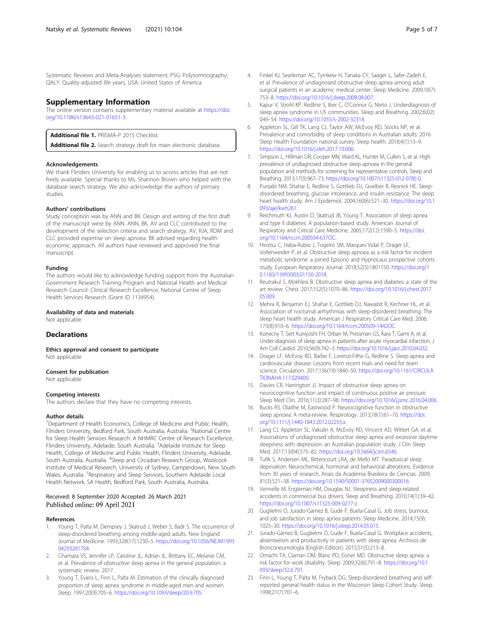<span id="page-4-0"></span>Systematic Reviews and Meta-Analyses statement; PSG: Polysomnography; QALY: Quality-adjusted life years; USA: United States of America

#### Supplementary Information

The online version contains supplementary material available at [https://doi.](https://doi.org/10.1186/s13643-021-01651-3) [org/10.1186/s13643-021-01651-3.](https://doi.org/10.1186/s13643-021-01651-3)

Additional file 1. PRISMA-P 2015 Checklist.

Additional file 2. Search strategy draft for main electronic database.

#### Acknowledgements

We thank Flinders University for enabling us to access articles that are not freely available. Special thanks to Ms. Shannon Brown who helped with the database search strategy. We also acknowledge the authors of primary studies.

#### Authors' contributions

Study conception was by ANN and BK. Design and writing of the first draft of the manuscript were by ANN. ANN, BK, AV and CLC contributed to the development of the selection criteria and search strategy. AV, RJA, RDM and CLC provided expertise on sleep apnoea. BK advised regarding health economic approach. All authors have reviewed and approved the final manuscript.

#### Funding

The authors would like to acknowledge funding support from the Australian Government Research Training Program and National Health and Medical Research Council: Clinical Research Excellence, National Centre of Sleep Health Services Research (Grant ID 1134954).

#### Availability of data and materials

Not applicable

#### **Declarations**

Ethics approval and consent to participate Not applicable

#### Consent for publication

Not applicable

#### Competing interests

The authors declare that they have no competing interests.

#### Author details

<sup>1</sup>Department of Health Economics, College of Medicine and Public Health, Flinders University, Bedford Park, South Australia, Australia. <sup>2</sup>National Centre for Sleep Health Services Research: A NHMRC Centre of Research Excellence, Flinders University, Adelaide, South Australia. <sup>3</sup>Adelaide Institute for Sleep Health, College of Medicine and Public Health, Flinders University, Adelaide, South Australia, Australia. <sup>4</sup>Sleep and Circadian Research Group, Woolcock Institute of Medical Research, University of Sydney, Camperdown, New South Wales, Australia. <sup>5</sup>Respiratory and Sleep Services, Southern Adelaide Local Health Network, SA Health, Bedford Park, South Australia, Australia.

#### Received: 8 September 2020 Accepted: 26 March 2021 Published online: 09 April 2021

#### References

- Young T, Palta M, Dempsey J, Skatrud J, Weber S, Badr S. The occurrence of sleep-disordered breathing among middle-aged adults. New England Journal of Medicine. 1993;328(17):1230–5. [https://doi.org/10.1056/NEJM1993](https://doi.org/10.1056/NEJM199304293281704) [04293281704](https://doi.org/10.1056/NEJM199304293281704).
- 2. Chamara VS, Jennifer LP, Caroline JL, Adrian JL, Brittany EC, Melanie CM, et al. Prevalence of obstructive sleep apnea in the general population: a systematic review. 2017.
- 3. Young T, Evans L, Finn L, Palta M. Estimation of the clinically diagnosed proportion of sleep apnea syndrome in middle-aged men and women. Sleep. 1997;20(9):705–6. <https://doi.org/10.1093/sleep/20.9.705>.
- 4. Finkel KJ, Searleman AC, Tymkew H, Tanaka CY, Saager L, Safer-Zadeh E, et al. Prevalence of undiagnosed obstructive sleep apnea among adult surgical patients in an academic medical center. Sleep Medicine. 2009;10(7): 753–8. <https://doi.org/10.1016/j.sleep.2008.08.007>.
- 5. Kapur V, Strohl KP, Redline S, Iber C, O'Connor G, Nieto J. Underdiagnosis of sleep apnea syndrome in US communities. Sleep and Breathing. 2002;6(02): 049–54. <https://doi.org/10.1055/s-2002-32318>.
- 6. Appleton SL, Gill TK, Lang CJ, Taylor AW, McEvoy RD, Stocks NP, et al. Prevalence and comorbidity of sleep conditions in Australian adults: 2016 Sleep Health Foundation national survey. Sleep health. 2018;4(1):13–9. <https://doi.org/10.1016/j.sleh.2017.10.006>.
- 7. Simpson L, Hillman DR, Cooper MN, Ward KL, Hunter M, Cullen S, et al. High prevalence of undiagnosed obstructive sleep apnoea in the general population and methods for screening for representative controls. Sleep and Breathing. 2013;17(3):967–73. <https://doi.org/10.1007/s11325-012-0785-0>.
- 8. Punjabi NM, Shahar E, Redline S, Gottlieb DJ, Givelber R, Resnick HE. Sleepdisordered breathing, glucose intolerance, and insulin resistance: The sleep heart health study. Am J Epidemiol. 2004;160(6):521–30. [https://doi.org/10.1](https://doi.org/10.1093/aje/kwh261) [093/aje/kwh261](https://doi.org/10.1093/aje/kwh261).
- 9. Reichmuth KJ, Austin D, Skatrud JB, Young T. Association of sleep apnea and type II diabetes: A population-based study. American Journal of Respiratory and Critical Care Medicine. 2005;172(12):1590–5. [https://doi.](https://doi.org/10.1164/rccm.200504-637OC) [org/10.1164/rccm.200504-637OC.](https://doi.org/10.1164/rccm.200504-637OC)
- 10. Hirotsu C, Haba-Rubio J, Togeiro SM, Marques-Vidal P, Drager LF, Vollenweider P, et al. Obstructive sleep apnoea as a risk factor for incident metabolic syndrome: a joined Episono and HypnoLaus prospective cohorts study. European Respiratory Journal. 2018;52(5):1801150. [https://doi.org/1](https://doi.org/10.1183/13993003.01150-2018) [0.1183/13993003.01150-2018.](https://doi.org/10.1183/13993003.01150-2018)
- 11. Reutrakul S, Mokhlesi B. Obstructive sleep apnea and diabetes: a state of the art review. Chest. 2017;152(5):1070–86. [https://doi.org/10.1016/j.chest.2017.](https://doi.org/10.1016/j.chest.2017.05.009) [05.009](https://doi.org/10.1016/j.chest.2017.05.009).
- 12. Mehra R, Benjamin EJ, Shahar E, Gottlieb DJ, Nawabit R, Kirchner HL, et al. Association of nocturnal arrhythmias with sleep-disordered breathing: The sleep heart health study. American J Respiratory Critical Care Med. 2006; 173(8):910–6. <https://doi.org/10.1164/rccm.200509-1442OC>.
- 13. Konecny T, Sert Kuniyoshi FH, Orban M, Pressman GS, Kara T, Gami A, et al. Under-diagnosis of sleep apnea in patients after acute myocardial infarction. J Am Coll Cardiol. 2010;56(9):742–3. <https://doi.org/10.1016/j.jacc.2010.04.032>.
- 14. Drager LF, McEvoy RD, Barbe F, Lorenzi-Filho G, Redline S. Sleep apnea and cardiovascular disease: Lessons from recent trials and need for team science. Circulation. 2017;136(19):1840–50. [https://doi.org/10.1161/CIRCULA](https://doi.org/10.1161/CIRCULATIONAHA.117.029400) [TIONAHA.117.029400.](https://doi.org/10.1161/CIRCULATIONAHA.117.029400)
- 15. Davies CR, Harrington JJ. Impact of obstructive sleep apnea on neurocognitive function and impact of continuous positive air pressure. Sleep Med Clin. 2016;11(3):287–98. <https://doi.org/10.1016/j.jsmc.2016.04.006>.
- 16. Bucks RS, Olaithe M, Eastwood P. Neurocognitive function in obstructive sleep apnoea: A meta-review. Respirology. 2013;18(1):61–70. [https://doi.](https://doi.org/10.1111/j.1440-1843.2012.02255.x) [org/10.1111/j.1440-1843.2012.02255.x](https://doi.org/10.1111/j.1440-1843.2012.02255.x).
- 17. Lang CJ, Appleton SL, Vakulin A, McEvoy RD, Vincent AD, Wittert GA, et al. Associations of undiagnosed obstructive sleep apnea and excessive daytime sleepiness with depression: an Australian population study. J Clin Sleep Med. 2017;13(04):575–82. <https://doi.org/10.5664/jcsm.6546>.
- 18. Tufik S, Andersen ML, Bittencourt LRA, de Mello MT. Paradoxical sleep deprivation: Neurochemical, hormonal and behavioral alterations. Evidence from 30 years of research. Anais da Academia Brasileira de Ciencias. 2009; 81(3):521–38. <https://doi.org/10.1590/S0001-37652009000300016>.
- 19. Vennelle M, Engleman HM, Douglas NJ. Sleepiness and sleep-related accidents in commercial bus drivers. Sleep and Breathing. 2010;14(1):39–42. [https://doi.org/10.1007/s11325-009-0277-z.](https://doi.org/10.1007/s11325-009-0277-z)
- 20. Guglielmi O, Jurado-Gámez B, Gude F, Buela-Casal G. Job stress, burnout, and job satisfaction in sleep apnea patients. Sleep Medicine. 2014;15(9): 1025–30. <https://doi.org/10.1016/j.sleep.2014.05.015>.
- 21. Jurado-Gámez B, Guglielmi O, Gude F, Buela-Casal G. Workplace accidents, absenteeism and productivity in patients with sleep apnea. Archivos de Bronconeumología (English Edition). 2015;51(5):213–8.
- 22. Omachi TA, Claman DM, Blanc PD, Eisner MD. Obstructive sleep apnea: a risk factor for work disability. Sleep. 2009;32(6):791–8. [https://doi.org/10.1](https://doi.org/10.1093/sleep/32.6.791) [093/sleep/32.6.791](https://doi.org/10.1093/sleep/32.6.791).
- 23. Finn L, Young T, Palta M, Fryback DG. Sleep-disordered breathing and selfreported general health status in the Wisconsin Sleep Cohort Study. Sleep. 1998;21(7):701–6.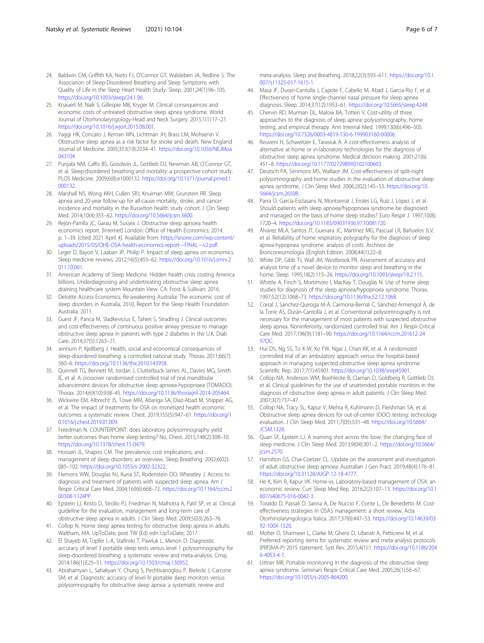- <span id="page-5-0"></span>24. Baldwin CM, Griffith KA, Nieto FJ, O'Connor GT, Walsleben JA, Redline S. The Association of Sleep-Disordered Breathing and Sleep Symptoms with Quality of Life in the Sleep Heart Health Study. Sleep. 2001;24(1):96–105. [https://doi.org/10.1093/sleep/24.1.96.](https://doi.org/10.1093/sleep/24.1.96)
- 25. Knauert M, Naik S, Gillespie MB, Kryger M. Clinical consequences and economic costs of untreated obstructive sleep apnea syndrome. World Journal of Otorhinolaryngology-Head and Neck Surgery. 2015;1(1):17–27. [https://doi.org/10.1016/j.wjorl.2015.08.001.](https://doi.org/10.1016/j.wjorl.2015.08.001)
- 26. Yaggi HK, Concato J, Kernan WN, Lichtman JH, Brass LM, Mohsenin V. Obstructive sleep apnea as a risk factor for stroke and death. New England Journal of Medicine. 2005;353(19):2034–41. [https://doi.org/10.1056/NEJMoa](https://doi.org/10.1056/NEJMoa043104) [043104](https://doi.org/10.1056/NEJMoa043104).
- 27. Punjabi NM, Caffo BS, Goodwin JL, Gottlieb DJ, Newman AB, O'Connor GT, et al. Sleep-disordered breathing and mortality: a prospective cohort study. PLOS Medicine. 2009;6(8):e1000132. [https://doi.org/10.1371/journal.pmed.1](https://doi.org/10.1371/journal.pmed.1000132) [000132](https://doi.org/10.1371/journal.pmed.1000132).
- 28. Marshall NS, Wong KKH, Cullen SRJ, Knuiman MW, Grunstein RR. Sleep apnea and 20-year follow-up for all-cause mortality, stroke, and cancer incidence and mortality in the Busselton health study cohort. J Clin Sleep Med. 2014;10(4):355–62. [https://doi.org/10.5664/jcsm.3600.](https://doi.org/10.5664/jcsm.3600)
- 29. Rejón-Parrilla JC, Garau M, Sussex J. Obstructive sleep apnoea health economics report. [Internet] London: Office of Health Economics; 2014. p. 1–39. [cited 2021 April 4]. Available from: [https://snorer.com/wp-content/](https://snorer.com/wp-content/uploads/2015/05/OHE-OSA-health-economics-report---FINAL---v2.pdf) [uploads/2015/05/OHE-OSA-health-economics-report---FINAL---v2.pdf](https://snorer.com/wp-content/uploads/2015/05/OHE-OSA-health-economics-report---FINAL---v2.pdf).
- 30. Leger D, Bayon V, Laaban JP, Philip P. Impact of sleep apnea on economics. Sleep medicine reviews. 2012;16(5):455–62. [https://doi.org/10.1016/j.smrv.2](https://doi.org/10.1016/j.smrv.2011.10.001) [011.10.001](https://doi.org/10.1016/j.smrv.2011.10.001).
- 31. American Academy of Sleep Medicine. Hidden health crisis costing America billions. Underdiagnosing and undertreating obstructive sleep apnea draining healthcare system Mountain View. CA: Frost & Sullivan; 2016.
- 32. Deloitte Access Economics. Re-awakening Australia: The economic cost of sleep disorders in Australia, 2010, Report for the Sleep Health Foundation Australia. 2011.
- 33. Guest JF, Panca M, Sladkevicius E, Taheri S, Stradling J. Clinical outcomes and cost-effectiveness of continuous positive airway pressure to manage obstructive sleep apnea in patients with type 2 diabetes in the U.K. Diab Care. 2014;37(5):1263–71.
- 34. Jennum P, Kjellberg J. Health, social and economical consequences of sleep-disordered breathing: a controlled national study. Thorax. 2011;66(7): 560–6. [https://doi.org/10.1136/thx.2010.143958.](https://doi.org/10.1136/thx.2010.143958)
- 35. Quinnell TG, Bennett M, Jordan J, Clutterbuck-James AL, Davies MG, Smith IE, et al. A crossover randomised controlled trial of oral mandibular advancement devices for obstructive sleep apnoea-hypopnoea (TOMADO). Thorax. 2014;69(10):938–45. [https://doi.org/10.1136/thoraxjnl-2014-205464.](https://doi.org/10.1136/thoraxjnl-2014-205464)
- 36. Wickwire EM, Albrecht JS, Towe MM, Abariga SA, Diaz-Abad M, Shipper AG, et al. The impact of treatments for OSA on monetized health economic outcomes: a systematic review. Chest. 2019;155(5):947–61. [https://doi.org/1](https://doi.org/10.1016/j.chest.2019.01.009) [0.1016/j.chest.2019.01.009](https://doi.org/10.1016/j.chest.2019.01.009).
- 37. Freedman N. COUNTERPOINT: does laboratory polysomnography yield better outcomes than home sleep testing? No. Chest. 2015;148(2):308–10. [https://doi.org/10.1378/chest.15-0479.](https://doi.org/10.1378/chest.15-0479)
- 38. Hossain JL, Shapiro CM. The prevalence, cost implications, and management of sleep disorders: an overview. Sleep Breathing. 2002;6(02): 085–102. [https://doi.org/10.1055/s-2002-32322.](https://doi.org/10.1055/s-2002-32322)
- 39. Flemons WW, Douglas NJ, Kuna ST, Rodenstein DO, Wheatley J. Access to diagnosis and treatment of patients with suspected sleep apnea. Am J Respir Critical Care Med. 2004;169(6):668–72. [https://doi.org/10.1164/rccm.2](https://doi.org/10.1164/rccm.200308-1124PP) [00308-1124PP.](https://doi.org/10.1164/rccm.200308-1124PP)
- 40. Epstein LJ, Kristo D, Strollo PJ, Friedman N, Malhotra A, Patil SP, et al. Clinical guideline for the evaluation, management and long-term care of obstructive sleep apnea in adults. J Clin Sleep Med. 2009;5(03):263–76.
- 41. Collop N. Home sleep apnea testing for obstructive sleep apnea in adults. Waltham, MA: UpToDate, post TW (Ed) edn UpToDate; 2017.
- 42. El Shayeb M, Topfer L-A, Stafinski T, Pawluk L, Menon D. Diagnostic accuracy of level 3 portable sleep tests versus level 1 polysomnography for sleep-disordered breathing: a systematic review and meta-analysis. Cmaj. 2014;186(1):E25–51. <https://doi.org/10.1503/cmaj.130952>.
- 43. Abrahamyan L, Sahakyan Y, Chung S, Pechlivanoglou P, Bielecki J, Carcone SM, et al. Diagnostic accuracy of level IV portable sleep monitors versus polysomnography for obstructive sleep apnea: a systematic review and

meta-analysis. Sleep and Breathing. 2018;22(3):593–611. [https://doi.org/10.1](https://doi.org/10.1007/s11325-017-1615-1) [007/s11325-017-1615-1.](https://doi.org/10.1007/s11325-017-1615-1)

- 44. Masa JF, Duran-Cantolla J, Capote F, Cabello M, Abad J, Garcia-Rio F, et al. Effectiveness of home single-channel nasal pressure for sleep apnea diagnosis. Sleep. 2014;37(12):1953–61. [https://doi.org/10.5665/sleep.4248.](https://doi.org/10.5665/sleep.4248)
- 45. Chervin RD, Murman DL, Malow BA, Totten V. Cost-utility of three approaches to the diagnosis of sleep apnea: polysomnography, home testing, and empirical therapy. Ann Internal Med. 1999;130(6):496–505. <https://doi.org/10.7326/0003-4819-130-6-199903160-00006>.
- 46. Reuveni H, Schweitzer E, Tarasiuk A. A cost-effectiveness analysis of alternative at-home or in-laboratory technologies for the diagnosis of obstructive sleep apnea syndrome. Medical decision making. 2001;21(6): 451–8. <https://doi.org/10.1177/0272989X0102100603>.
- 47. Deutsch PA, Simmons MS, Wallace JM. Cost-effectiveness of split-night polysomnography and home studies in the evaluation of obstructive sleep apnea syndrome. J Clin Sleep Med. 2006;2(02):145–53. [https://doi.org/10.](https://doi.org/10.5664/jcsm.26508) [5664/jcsm.26508](https://doi.org/10.5664/jcsm.26508).
- 48. Parra O, Garcia-Esclasans N, Montserrat J, Eroles LG, Ruiz J, López J, et al. Should patients with sleep apnoea/hypopnoea syndrome be diagnosed and managed on the basis of home sleep studies? Euro Respir J. 1997;10(8): 1720–4. [https://doi.org/10.1183/09031936.97.10081720.](https://doi.org/10.1183/09031936.97.10081720)
- 49. Álvarez MLA, Santos JT, Guevara JC, Martínez MG, Pascual LR, Bañuelos JLV, et al. Reliability of home respiratory polygraphy for the diagnosis of sleep apnea-hypopnea syndrome. analysis of costs. Archivos de Bronconeumología ((English Edition. 2008;44(1):22–8.
- 50. White DP, Gibb TJ, Wall JM, Westbrook PR. Assessment of accuracy and analysis time of a novel device to monitor sleep and breathing in the home. Sleep. 1995;18(2):115–26. [https://doi.org/10.1093/sleep/18.2.115.](https://doi.org/10.1093/sleep/18.2.115)
- 51. Whittle A, Finch S, Mortimore I, MacKay T, Douglas N. Use of home sleep studies for diagnosis of the sleep apnoea/hypopnoea syndrome. Thorax. 1997;52(12):1068–73. [https://doi.org/10.1136/thx.52.12.1068.](https://doi.org/10.1136/thx.52.12.1068)
- 52. Corral J, Sánchez-Quiroga M-Á, Carmona-Bernal C, Sánchez-Armengol Á, de la Torre AS, Durán-Cantolla J, et al. Conventional polysomnography is not necessary for the management of most patients with suspected obstructive sleep apnea. Noninferiority, randomized controlled trial. Am J Respir Critical Care Med. 2017;196(9):1181–90. [https://doi.org/10.1164/rccm.201612-24](https://doi.org/10.1164/rccm.201612-2497OC) [97OC](https://doi.org/10.1164/rccm.201612-2497OC).
- 53. Hui DS, Ng SS, To K-W, Ko FW, Ngai J, Chan KK, et al. A randomized controlled trial of an ambulatory approach versus the hospital-based approach in managing suspected obstructive sleep apnea syndrome. Scientific Rep. 2017;7(1):45901. <https://doi.org/10.1038/srep45901>.
- 54. Collop NA, Anderson WM, Boehlecke B, Claman D, Goldberg R, Gottlieb DJ, et al. Clinical guidelines for the use of unattended portable monitors in the diagnosis of obstructive sleep apnea in adult patients. J Clin Sleep Med. 2007;3(7):737–47.
- 55. Collop NA, Tracy SL, Kapur V, Mehra R, Kuhlmann D, Fleishman SA, et al. Obstructive sleep apnea devices for out-of-center (OOC) testing: technology evaluation. J Clin Sleep Med. 2011;7(05):531–48. [https://doi.org/10.5664/](https://doi.org/10.5664/JCSM.1328) [JCSM.1328.](https://doi.org/10.5664/JCSM.1328)
- 56. Quan SF, Epstein LJ. A warning shot across the bow: the changing face of sleep medicine. J Clin Sleep Med. 2013;9(04):301–2. [https://doi.org/10.5664/](https://doi.org/10.5664/jcsm.2570) [jcsm.2570.](https://doi.org/10.5664/jcsm.2570)
- 57. Hamilton GS, Chai-Coetzer CL. Update on the assessment and investigation of adult obstructive sleep apnoea. Australian J Gen Pract. 2019;48(4):176–81. <https://doi.org/10.31128/AJGP-12-18-4777>.
- 58. He K, Kim R, Kapur VK. Home-vs. Laboratory-based management of OSA: an economic review. Curr Sleep Med Rep. 2016;2(2):107–13. [https://doi.org/10.1](https://doi.org/10.1007/s40675-016-0042-3) [007/s40675-016-0042-3.](https://doi.org/10.1007/s40675-016-0042-3)
- 59. Toraldo D, Passali D, Sanna A, De Nuccio F, Conte L, De Benedetto M. Costeffectiveness strategies in OSAS management: a short review. Acta Otorhinolaryngologica Italica. 2017;37(6):447–53. [https://doi.org/10.14639/03](https://doi.org/10.14639/0392-100X-1520) [92-100X-1520](https://doi.org/10.14639/0392-100X-1520).
- 60. Moher D, Shamseer L, Clarke M, Ghersi D, Liberati A, Petticrew M, et al. Preferred reporting items for systematic review and meta-analysis protocols (PRISMA-P) 2015 statement. Syst Rev. 2015;4(1):1. [https://doi.org/10.1186/204](https://doi.org/10.1186/2046-4053-4-1) [6-4053-4-1.](https://doi.org/10.1186/2046-4053-4-1)
- 61. Littner MR. Portable monitoring in the diagnosis of the obstructive sleep apnea syndrome. Seminars Respir Critical Care Med. 2005;26(1):56–67. [https://doi.org/10.1055/s-2005-864200.](https://doi.org/10.1055/s-2005-864200)